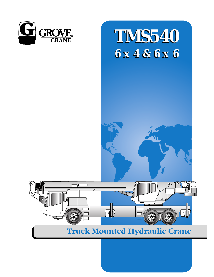

# **TMS540 6 x 4 & 6 x 6 6 x 4 & 6 x 6**



# **Truck Mounted Hydraulic Crane**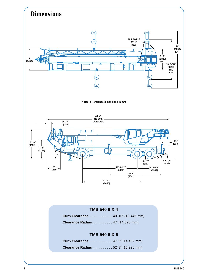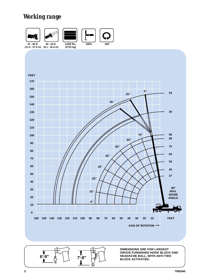# *Working range*



**DIMENSIONS ARE FOR LARGEST GROVE FURNISHED HOOK BLOCK AND HEADACHE BALL, WITH ANTI-TWO BLOCK ACTIVATED.** 

**6'-9" 7'-8"**

(G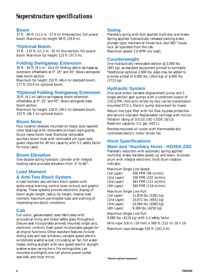#### **Boom**

37 ft. - 90 ft.(11.2 m - 27.4 m) three-section, full power boom. Maximum tip height: 98 ft. (29.8 m).

#### **\*Optional Boom**

37 ft. - 115 ft.(11.2 m - 35 m) four-section, full power boom. Maximum tip height: 123 ft. (37.5 m).

#### **Folding Swingaway Extension**

30 ft. - 54 ft.(9.1 m - 16.4 m) folding lattice swingaway extension offsettable at 0°, 25° and 45°. Stows alongside base boom section.

Maximum tip height: 152 ft. (46.4 m) standard boom, 177 ft. (53.9 m) optional boom.

#### **\*Optional Folding Swingaway Extension**

30 ft. (9.1 m) lattice swingaway boom extension offsettable at 0°, 25° and 45°. Stows alongside base boom section.

Maximum tip height: 128 ft. (39.2 m) standard boom, 153 ft. (46.7 m) optional boom.

#### **Boom Nose**

Four nylatron sheaves mounted on heavy duty tapered roller bearings with removable pin-type rope guards. Quick reeve boom nose.\*Optional removable auxiliary boom nose with removable pin type rope guard, required for 40 ton capacity with 5:1 safety factor for hoist cable.

#### **Boom Elevation**

One double acting hydraulic cylinder with integral holding valve provides elevation from -3° to 80°.

#### **Load Moment**

#### **& Anti-Two Block System**

A load moment and anti-two block system with audio-visual warning, control lever lockout, and graphic display. These systems provide electronic display of boom angle, length, radius, tip height, relative load moment, maximum permissible load, and warning of impending two-block conditions.

#### **Cab**

Full vision, galvannealed, steel fabricated with accoustical lining and tinted safety glass throughout. Deluxe seat incorporates armrest mounted single axis, electronic controls. Dash panel incorporates gauges for all engine functions. Other standard features include: sliding side and rear windows, variable speed electric windshield washer-wiper, circulating air fan, hot water heater, sliding skylight with two speed electric skylight washer-wiper, swing horn, fire extinguisher, cab mounted worklights, one cell phone power outlet, seat belt, and hoist mirror.

#### **Swing**

Planetary swing with foot applied multi-disc wet brake. Spring applied, hydraulically released parking brake, plunger type, mechanical house lock, and 360° house lock, all operated from the cab. Maximum speed: 3.0 RPM (no load).

#### **Counterweight**

One hydraulically removable section @ 2,000 lbs. (907 kg), as standard equipment pinned to turntable. \*Additional optional 2,000 lbs.slabs may be added to provide a total of 4,000 lbs.(1814 kg) or 6,000 lbs. (2722 kg).

#### **Hydraulic System**

One axial piston variable displacement pump and 2 single section gear pumps with a combined output of 110 G.P.M.(416 lpm) driven by two carrier transmission mounted P.T.O.'s. Electric pump disconnect for travel.

Return line type filter with full flow by-pass protection and service indicator. Replaceable cartridge with micron filtration rating of 3/5/10, (ISO CODE 16/13). Reservoir capacity: 111 gal. (420 L).

Remote-mounted oil cooler with thermostatically controlled electric motor driven fan.

# **Hoist Specifications**

#### **Main and \*Auxiliary Hoist - HO20A-23G**

Planetary reduction with automatic spring applied mulit-disc brake.Variable speed, up and down. Grooved drum with integral electronic hoist drum rotation indicator.

Maximum Single Line Speed:

| (1st Layer) | 309 FPM (94 m/min)  |
|-------------|---------------------|
| (2nd Layer) | 336 FPM (102 m/min) |
| (3rd Layer) | 363 FPM (111 m/min) |
| (4th Layer) | 390 FPM (119 m/min) |

Maximum Single Line Pull:

| (1st Layer) | 11,819 lbs. (5361 kg) |
|-------------|-----------------------|
| (2nd Layer) | 10,871 lbs. (4931 kg) |
| (3rd Layer) | 10,064 lbs. (4565 kg) |
| (4th Layer) | 9,369 lbs. (4250 kg)  |

Maximum Single Line Pull:

9,080 lbs. (4119 kg) with 5:1 safety factor

Wire rope: 5/8 in. (16 mm) x 500 ft.(152 m) 18 x 19

Maximum rope stowage: 530 ft. (161.5 m)

*\*Denotes optional equipment*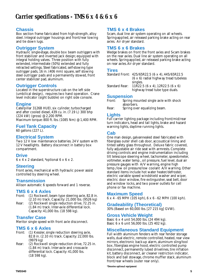#### **Chassis**

Box section frame fabricated from high-strength, alloy steel. Integral outrigger housings and front/rear towing and tie down lugs.

#### **Outrigger System**

Hydraulic single-stage, double box beam outriggers with front stabilizer and inverted jack design; equipped with integral holding valves. Three position with fully extended, intermediate (50%) extended and fully retracted settings. Steel fabricated, self-stowing type outrigger pads, 16 in. (406 mm) square, self stowing steel outrigger pads and a permanently stowed, front center stabilizer pad, aluminum.

#### **Outrigger Controls**

Located in the superstructure cab on the left side (umbilical design), requires two hand operation. Crane level indicator (sight bubble) on right side console.

#### **Engine**

Caterpillar 3126B HUEI, six cylinder, turbocharged and after cooled diesel, 439 cu. in.(7.19 L) 300 bhp (224 kW) (gross) @ 2,200 RPM. Maximum torque: 800 ft. lbs.(1085 Nm) @ 1,400 RPM.

#### **Fuel Tank Capacity**

60 gallons (227 L).

#### **Electrical System**

Two 12 V low maintenance batteries. 24 V system with 12 V headlights. Battery disconnect in battery box compartment.

#### **Drive**

6 x 4 x 2 standard, \*optional 6 x 6 x 2.

#### **Steering**

Front axles, mechanical with hydraulic power assist controlled by steering wheel.

#### **Transmission**

Allison automatic 6 speeds forward and 1 reverse.

#### **TMS 6 x 4 Axles**

- Front: (1) Rockwell, beam type steering axle, 82.8 in. (2.10 m) track. Capacity: 21,000 lbs. (9526 kg)
- Rear: (2) Rockwell single reduction drive, 72.25 in. (1.84 m) track. Inter-axle differential lock. Capacity: 41,000 lbs. (18 598 kg).

#### **Transfer Case**

Meritor single speed with front axle disconnect.

#### **TMS 6 x 6 Axles**

- Front: (1) Kessler, single reduction steering axle, 82.8 in. (2.10 m) track. Capacity: 22,000 lbs. (9979 kg)
- Rear: (2) Rockwell single reduction drive, 72.25 in. (1.84 m) track. Inter-axle and cross-axle differential lock. Capacity: 41,000 lbs. (18 598 kg).

#### **TMS 6 x 4 Brakes**

S-cam, dual line air system operating on all wheels. Spring-applied, air released parking brake acting on rear axles. Air dryer standard.

#### **TMS 6 x 6 Brakes**

Wedge brakes on front the front axles and S-cam brakes on the rear axles. Dual line air system operating on all wheels. Spring-applied, air released parking brake acting on rear axles.Air dryer standard.

#### **Tires**

```
Standard Front: 425/65R22.5 (6 x 4), 445/65R22.5
                (6 x 6) radial highway tread tubeless 
                singles.
Standard Rear: 11R22.5 (6 x 4), 12R22.5 (6 x 6)
                highway tread tube type duals.
```
#### **Suspension**

- Front: Spring mounted single axle with shock absorbers.
- Rear: Spring over equalizing beam.

#### **Lights**

Full carrier lighting package including front/mid/rear turn indicators, head and tail lights, brake and hazard warning lights, daytime running lights.

#### **Cab**

One man design, galvannealed steel fabricated with fiberglass outer shell cab door, accoustical lining and tinted safety glass throughout. Deluxe fabric covered, fully adjustable air ride seat with armrests. Complete driving controls and engine instrumentation including tilt telescope steering wheel, tachometer, speedometer, voltmeter, water temp., oil pressure, fuel level, dual air pressure gauges with A/V warning, engine high temp./low oil pressure/low coolant A/V warning. Other standard items include hot water heater/defroster, electric variable speed windshield washer and wiper, electric door window, fire extinguisher, seat belt, door and window locks, and two power outlets for cell phone or fax machine.

#### **Maximum Speed**

 $6 \times 4 - 65$  MPH (105 kph),  $6 \times 6 - 62$  MPH (100 kph).

#### **Gradeability (Theoretical)**

30% (Based on 60,000 lbs.[27 215 kg] GVW).

#### **Gross Vehicle Weight**

Basic 6 x 4 unit 54,000 lbs.(24 494 kg). Basic 6 x 6 unit 56,000 lbs.(25 402 kg).

#### **Miscellaneous Standard Equipment**

Full width aluminum fenders with rear fender storage wells, dual electric, remote controlled, heated, rear view mirrors, electronic back-up alarm, aluminum sling/tool box, fiberglass engine hood, electric controlled pump disconnect, permanently lubed drivelines, tire inflation kit, battery disconnect, air cleaner restriction indicator, block and ball stowage, chrome muffler stack, aluminum front/rear wheels (outer rear only).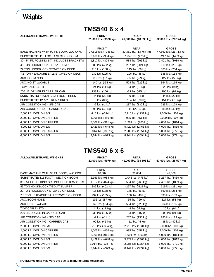# *Weights*

## **TMS540 6 x 4**

ALLOWABLE TRAVEL WEIGHTS **FRONT REAR GROSS** 

**21,000 lbs. (9526 kg) 41,000 lbs. (18 598 kg) 62,000 lbs. (28 124 kg)**

| BASE MACHINE WITH 90 FT. BOOM, W/O CWT.     | <b>FRONT</b><br>17,518 lbs. (7946 kg) | <b>RFAR</b><br>30,351 lbs. (13 767 kg) | <b>GROSS</b><br>47,869 lbs. (21 713 kg) |
|---------------------------------------------|---------------------------------------|----------------------------------------|-----------------------------------------|
| <b>SUBSTITUTE: 115 FOOT 4 SECTION BOOM</b>  | 2,169 lbs. (984 kg)                   | 1,048 lbs. (475 kg)                    | 3,217 lbs. (1459 kg)                    |
| 30 - 54 FT. FOLDING S/A, INCLUDES BRACKETS  | 1,817 lbs. (824 kg)                   | 584 lbs. (265 kg)                      | 2,401 lbs. (1089 kg)                    |
| 45 TON HOOKBLOCK TIED AT BUMPER             | 886 lbs. (402 kg)                     | $-267$ lbs. $(-121$ kg)                | 619 lbs. (281 kg)                       |
| 22 TON HOOKBLOCK STOWED ON DECK             | 415 lbs. (188 kg)                     | 145 lbs. (66 kg)                       | 560 lbs. (254 kg)                       |
| 7.5 TON HEADACHE BALL STOWED ON DECK        | 232 lbs. (105 kg)                     | 106 lbs. (48 kg)                       | 338 lbs. (153 kg)                       |
| AUX. BOOM NOSE                              | 192 lbs. (87 kg)                      | $-65$ lbs. $(-29$ kg)                  | 127 lbs. (58 kg)                        |
| AUX. HOIST W/CABLE                          | $-140$ lbs. $(-64$ kg)                | 504 lbs. (229 kg)                      | 364 lbs. (165 kg)                       |
| TOW CABLE (STD.)                            | 24 lbs. (11 kg)                       | -4 lbs. (-2 kg)                        | 20 lbs. (9 kg)                          |
| 200 LB. DRIVER IN CARRIER CAB               | 233 lbs. (106 kg)                     | $-33$ lbs. $(-15 \text{ kg})$          | 200 lbs. (91 kg)                        |
| <b>SUBSTITUTE: 445/65R 22.5 FRONT TIRES</b> | 44 lbs. (20 kg)                       | $0$ lbs. $(0$ kg)                      | 44 lbs. (20 kg)                         |
| <b>SUBSTITUTE: 12R22.5 REAR TIRES</b>       | $0$ lbs. $(0$ kg)                     | 154 lbs. (70 kg)                       | 154 lbs. (70 kg)                        |
| AIR CONDITIONING - S/S CAB                  | $-2$ lbs. $(-1$ kg)                   | 287 lbs. (130 kg)                      | 285 lbs. (129 kg)                       |
| AIR CONDITIONING - CARRIER CAB              | 99 lbs. (45 kg)                       | $-11$ lbs. $(-5 \text{ kg})$           | 88 lbs. (40 kg)                         |
| 2,000 LB. CWT. ON S/S                       | -715 lbs. (-324 kg)                   | 2,715 lbs. (1231 kg)                   | 2,000 lbs. (907 kg)                     |
| 2,000 LB. CWT. ON CARRIER                   | 1,005 lbs. (456 kg)                   | 995 lbs. (451 kg)                      | 2,000 lbs. (907 kg)                     |
| 4,000 LB. CWT. ON CARRIER                   | 2,009 lbs. (911 kg)                   | 1,991 lbs. (903 kg)                    | 4,000 lbs. (1814 kg)                    |
| 4,000 LB. CWT. ON S/S                       | $-1,429$ lbs. $(-648$ kg)             | 5,429 lbs. (2463 kg)                   | 4,000 lbs. (1815 kg)                    |
| 6,000 LB. CWT. ON CARRIER                   | 3,014 lbs. (1367 kg)                  | 2,986 lbs. (1354 kg)                   | 6,000 lbs. (2721 kg)                    |
| 6,000 LB. CWT. ON S/S                       | $-2,144$ lbs. $(-973$ kg)             | 8,144 lbs. (3694 kg)                   | 6,000 lbs. (2721 kg)                    |

### **TMS540 6 x 6**

| <b>ALLOWABLE TRAVEL WEIGHTS</b>            | <b>FRONT</b><br>22,000 lbs. (9979 kg) | <b>REAR</b><br>41,000 lbs. (18 598 kg) | <b>GROSS</b><br>63,000 lbs. (28 577 kg) |  |
|--------------------------------------------|---------------------------------------|----------------------------------------|-----------------------------------------|--|
|                                            |                                       |                                        |                                         |  |
|                                            | <b>FRONT</b>                          | <b>REAR</b>                            | <b>GROSS</b>                            |  |
| BASE MACHINE WITH 90 FT. BOOM, W/O CWT.    | 18,682                                | 30,684                                 | 49,366                                  |  |
| <b>SUBSTITUTE: 115 FOOT 4 SECTION BOOM</b> | 2,169 lbs. (984 kg)                   | 1,048 lbs. (475 kg)                    | 3,217 lbs. (1459 kg)                    |  |
| 30 - 54 FT. FOLDING S/A, INCLUDES BRACKETS | 1,817 lbs. (824 kg)                   | 584 lbs. (265 kg)                      | 2,401 lbs. (1089 kg)                    |  |
| 45 TON HOOKBLOCK TIED AT BUMPER            | 886 lbs. (402 kg)                     | $-267$ lbs. $(-121$ kg)                | 619 lbs. (281 kg)                       |  |
| 22 TON HOOKBLOCK STOWED ON DECK            | 415 lbs. (188 kg)                     | 145 lbs. (66 kg)                       | 560 lbs. (254 kg)                       |  |
| 7.5 TON HEADACHE BALL STOWED ON DECK       | 232 lbs. (105 kg)                     | 106 lbs. (48 kg)                       | 338 lbs. (153 kg)                       |  |
| AUX. BOOM NOSE                             | 192 lbs. (87 kg)                      | -65 lbs. (-29 kg)                      | 127 lbs. (58 kg)                        |  |
| <b>AUX. HOIST W/CABLE</b>                  | $-140$ lbs. $(-64$ kg)                | 504 lbs. (229 kg)                      | 364 lbs. (165 kg)                       |  |
| TOW CABLE (STD.)                           | 24 lbs. (11 kg)                       | -4 lbs. (-2 kg)                        | 20 lbs. (9 kg)                          |  |
| 200 LB. DRIVER IN CARRIER CAB              | 233 lbs. (106 kg)                     | $-33$ lbs. $(-15 \text{ kg})$          | 200 lbs. (91 kg)                        |  |
| AIR CONDITIONING - S/S CAB                 | -2 lbs. (-1 kg)                       | 287 lbs. (130 kg)                      | 285 lbs. (129 kg)                       |  |
| AIR CONDITIONING - CARRIER CAB             | 99 lbs. (45 kg)                       | $-11$ lbs. $(-5 \text{ kg})$           | 88 lbs. (40 kg)                         |  |
| 2,000 LB. CWT. ON S/S                      | -715 lbs. (-324 kg)                   | 2,715 lbs. (1231 kg)                   | 2,000 lbs. (907 kg)                     |  |
| 2,000 LB. CWT. ON CARRIER                  | 1,005 lbs. (456 kg)                   | 995 lbs. (451 kg)                      | 2,000 lbs. (907 kg)                     |  |
| 4,000 LB. CWT. ON CARRIER                  | 2,009 lbs. (911 kg)                   | 1,991 lbs. (903 kg)                    | 4,000 lbs. (1814 kg)                    |  |
| 4,000 LB. CWT. ON S/S                      | $-1,429$ lbs. $(-648$ kg)             | 5,429 lbs. (2463 kg)                   | 4,000 lbs. (1815 kg)                    |  |
| 6,000 LB. CWT. ON CARRIER                  | 3,014 lbs. (1367 kg)                  | 2,986 lbs. (1354 kg)                   | 6,000 lbs. (2721 kg)                    |  |
| 6,000 LB. CWT. ON S/S                      | $-2,144$ lbs. $(-973$ kg)             | 8,144 lbs. (3694 kg)                   | 6,000 lbs. (2721 kg)                    |  |

**NOTES: Weights may vary 3% due to manufacturing tolerances**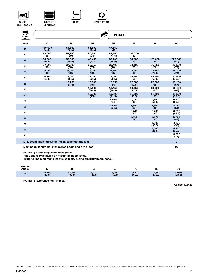|--|







**37 - 90 ft. (11.2 - 27.4 m)** **6,000 lbs. (2722 kg)**

ENÎ  $\mathbf{y}$ **Pounds**  $\rightarrow$ **Feet 37 45 55 65 75 85 90 <sup>10</sup> +80,000 (68.5) 64,650 (72.5) 55,500 (76.5) 47,150 (79) <sup>12</sup> 62,000 58,350 50,500 \*39,700 42,550 (77.5) (70) (80) (65) (74) <sup>15</sup> 50,000 50,000 43,450 \*29,000 \*23,500 37,100 (74.5) 34,600 (77) (59.5) (65.5) (71) (80) (80) 26,850 <sup>20</sup> 37,500 35,550 28,400 37,500 (58) 30,400 (70) 23,500 (77) (50) (65) (73) (76) <sup>25</sup> 28,000 (38) 28,000 (50) 28,000 (59) 25,600 (65) 23,950 (69) 22,650 (72.5) 20,400 (74) <sup>30</sup> 20,850 21,000 20,550 21,000 (40.5) 21,000 (52.5) 19,500 (68.5) 17,500 (70.5) (59.5) (19.5) (65) 16,600 16,850 17,000 17,000 <sup>35</sup> 16,250 (27.5) 15,250 (67) (45) (54) (60.5) (65) 13,450 (36.5) 13,650 13,900 <sup>40</sup> 13,100 13,450 (63) (48.5) (55.5) (61) <sup>45</sup> 10,600 (25) 10,900 (41.5) 11,200 (50.5) 11,400 (57) 11,500 (59.5) (34) 9,500 <sup>50</sup> 8,950 9,230 (45) 9,600 (55.5) (52.5) (23.5) <sup>55</sup> 7,410 7,690 (39) 7,960 (48) 8,080 (51) (32) 6,700 6,810 <sup>60</sup> 6,440 (43) (46.5) (22) 5,670 <sup>65</sup> 5,410 5,770 (42) (37) (30.5) 4,890 <sup>70</sup> 4,800 (36) (21.5) <sup>75</sup> 4,060 4,140 (29.5)**  $\frac{3,500}{(21)}$ **<sup>80</sup> 3,500**

**Min. boom angle (deg.) for indicated length (no load) 0**

**Max. boom length (ft.) at 0 degree boom angle (no load) 90**

**NOTE: ( ) Boom angles are in degrees.**

**\*This capacity is based on maximum boom angle.**

**+9 parts line required to lift this capacity (using auxiliary boom nose).**

| <b>Boom</b><br>Angle |                  |                  | 55              | 65              | 75<br>. .       | 0E<br>oз        | 90              |  |
|----------------------|------------------|------------------|-----------------|-----------------|-----------------|-----------------|-----------------|--|
| no                   | 19.250<br>(30.8) | 13,500<br>(38.8) | 9,070<br>(48.8) | 6,440<br>(58.8) | 4.730<br>(68.8) | 3,560<br>(78.8) | 3,060<br>(83.8) |  |

**NOTE: ( ) Reference radii in feet.**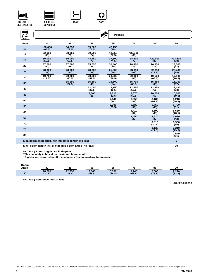





**100% 360**°

**37 - 90 ft. (11.2 - 27.4 m)**

**(2722 kg)**

| WÎ   |                                                         |                  |                  | <b>Pounds</b>    |                  |                   |                  |
|------|---------------------------------------------------------|------------------|------------------|------------------|------------------|-------------------|------------------|
| Feet | 37                                                      | 45               | 55               | 65               | 75               | 85                | 90               |
| 10   | $+80.000$<br>(68.5)                                     | 64.650<br>(72.5) | 55.500<br>(76.5) | 47,150<br>(79)   |                  |                   |                  |
| 12   | 62,000<br>(65)                                          | 58,350<br>(70)   | 50,500<br>(74)   | 42,550<br>(77.5) | *39,700<br>(80)  |                   |                  |
| 15   | 50,000<br>(59.5)                                        | 50,000<br>(65.5) | 43.450<br>(71)   | 37.100<br>(74.5) | 34.600<br>(77)   | $*29,000$<br>(80) | *23,500<br>(80)  |
| 20   | 37,500<br>(50)                                          | 37,500<br>(58)   | 35.550<br>(65)   | 30.400<br>(70)   | 28.400<br>(73)   | 26,850<br>(76)    | 23.500<br>(77)   |
| 25   | 28,000<br>(38)                                          | 28,000<br>(50)   | 28,000<br>(59)   | 25.600<br>(65)   | 23.950<br>(69)   | 22.650<br>(72.5)  | 20.400<br>(74)   |
| 30   | 19.700<br>(19.5)                                        | 20.300<br>(40.5) | 20.600<br>(52.5) | 20.600<br>(59.5) | 20,300<br>(65)   | 19,500<br>(68.5)  | 17.500<br>(70.5) |
| 35   |                                                         | 15.200<br>(27.5) | 15.500<br>(45)   | 15.500<br>(54)   | 15.700<br>(60.5) | 15.450<br>(65)    | 15.250<br>(67)   |
| 40   |                                                         |                  | 12.000<br>(36.5) | 12.150<br>(48.5) | 12.250<br>(55.5) | 12.450<br>(61)    | 12.450<br>(63)   |
| 45   |                                                         |                  | 9,600<br>(25)    | 9.710<br>(41.5)  | 9.870<br>(50.5)  | 10.000<br>(57)    | 10.000<br>(59.5) |
| 50   |                                                         |                  |                  | 7.840<br>(34)    | 8,050<br>(45)    | 8,180<br>(52.5)   | 8,210<br>(55.5)  |
| 55   |                                                         |                  |                  | 6,390<br>(23.5)  | 6,580<br>(39)    | 6,760<br>(48)     | 6,790<br>(51)    |
| 60   |                                                         |                  |                  |                  | 5,410<br>(32)    | 5,590<br>(43)     | 5,660<br>(46.5)  |
| 65   |                                                         |                  |                  |                  | 4,450<br>(22)    | 4,620<br>(37)     | 4,690<br>(42)    |
| 70   |                                                         |                  |                  |                  |                  | 3,810<br>(30.5)   | 3,900<br>(36)    |
| 75   |                                                         |                  |                  |                  |                  | 3,130<br>(21.5)   | 3,210<br>(29.5)  |
| 80   |                                                         |                  |                  |                  |                  |                   | 2.620<br>(21)    |
|      | Min. boom angle (deg.) for indicated length (no load)   |                  |                  |                  |                  |                   | $\mathbf{0}$     |
|      | Max. boom length (ft.) at 0 degree boom angle (no load) |                  |                  |                  |                  | 90                |                  |

**NOTE: ( ) Boom angles are in degrees. \*This capacity is based on maximum boom angle.**

**+9 parts line required to lift this capacity (using auxiliary boom nose).**

| Boom<br>Angle  |                  | 45               | 55              | 65              |                 | 85              | 90              |  |
|----------------|------------------|------------------|-----------------|-----------------|-----------------|-----------------|-----------------|--|
| $\mathbf{n}^c$ | 18,700<br>(30.8) | 12.250<br>(38.8) | 7,860<br>(48.8) | 5,350<br>(58.8) | 3.740<br>(68.8) | 2,680<br>(78.8) | 2.220<br>(83.8) |  |

**NOTE: ( ) Reference radii in feet.**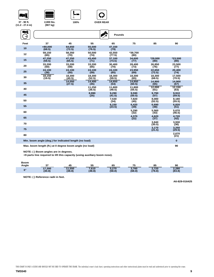|--|







**37 - 90 ft. (11.2 - 27.4 m)** **2,000 lbs. (907 kg)**

| WÎ   |                                                         |                  |                  | <b>Pounds</b>    |                  |                  |                  |  |
|------|---------------------------------------------------------|------------------|------------------|------------------|------------------|------------------|------------------|--|
| Feet | 37                                                      | 45               | 55               | 65               | 75               | 85               | 90               |  |
| 10   | $+80.000$<br>(68.5)                                     | 64.650<br>(72.5) | 55.500<br>(76.5) | 47,150<br>(79)   |                  |                  |                  |  |
| 12   | 59,150<br>(65)                                          | 58,350<br>(70)   | 50,500<br>(74)   | 42,550<br>(77.5) | *39,700<br>(80)  |                  |                  |  |
| 15   | 47.250<br>(59.5)                                        | 47.250<br>(65.5) | 43.450<br>(71)   | 37,100<br>(74.5) | 34,600<br>(77)   | *29,000<br>(80)  | *23.500<br>(80)  |  |
| 20   | 33,200<br>(50)                                          | 33,200<br>(58)   | 33,200<br>(65)   | 30,400<br>(70)   | 28,400<br>(73)   | 26,850<br>(76)   | 23,500<br>(77)   |  |
| 25   | 24,100<br>(38)                                          | 24,100<br>(50)   | 24,100<br>(59)   | 24,100<br>(65)   | 23,950<br>(69)   | 22,650<br>(72.5) | 20,400<br>(74)   |  |
| 30   | 18,150<br>(19.5)                                        | 18,300<br>(40.5) | 18,300<br>(52.5) | 18,300<br>(59.5) | 18,300<br>(65)   | 18,300<br>(68.5) | 17.500<br>(70.5) |  |
| 35   |                                                         | 14.050<br>(27.5) | 14.400<br>(45)   | 14.650<br>(54)   | 14.850<br>(60.5) | 14.900<br>(65)   | 14.900<br>(67)   |  |
| 40   |                                                         |                  | 11.250<br>(36.5) | 11.600<br>(48.5) | 11.800<br>(55.5) | 12,000<br>(61)   | 12.150<br>(63)   |  |
| 45   |                                                         |                  | 8,990<br>(25)    | 9,290<br>(41.5)  | 9,590<br>(50.5)  | 9,790<br>(57)    | 9,910<br>(59.5)  |  |
| 50   |                                                         |                  |                  | 7,530<br>(34)    | 7,820<br>(45)    | 8.080<br>(52.5)  | 8.180<br>(55.5)  |  |
| 55   |                                                         |                  |                  | 6,150<br>(23.5)  | 6,420<br>(39)    | 6,690<br>(48)    | 6,820<br>(51)    |  |
| 60   |                                                         |                  |                  |                  | 5,290<br>(32)    | 5,560<br>(43)    | 5,670<br>(46.5)  |  |
| 65   |                                                         |                  |                  |                  | 4,370<br>(22)    | 4,620<br>(37)    | 4,720<br>(42)    |  |
| 70   |                                                         |                  |                  |                  |                  | 3,840<br>(30.5)  | 3,930<br>(36)    |  |
| 75   |                                                         |                  |                  |                  |                  | 3,170<br>(21.5)  | 3,250<br>(29.5)  |  |
| 80   |                                                         |                  |                  |                  |                  |                  | 2,670<br>(21)    |  |
|      | Min. boom angle (deg.) for indicated length (no load)   |                  |                  |                  |                  |                  | $\bf{0}$         |  |
|      | Max. boom length (ft.) at 0 degree boom angle (no load) |                  |                  |                  |                  |                  | 90               |  |

**NOTE: ( ) Boom angles are in degrees.**

**+9 parts line required to lift this capacity (using auxiliary boom nose).**

#### **Boom**

| ------<br>Angle |                  |                  | Ju              | 65                           |                 | 61<br>oυ        | 90              |  |
|-----------------|------------------|------------------|-----------------|------------------------------|-----------------|-----------------|-----------------|--|
| $\mathbf{n}$    | 17,300<br>(30.8) | 11,550<br>(38.8) | 7.610<br>(48.8) | 5.270<br>่ ง.∠ / ∪<br>(58.8) | 3,760<br>(68.8) | 2,720<br>(78.8) | 2,280<br>(83.8) |  |

**NOTE: ( ) Reference radii in feet.**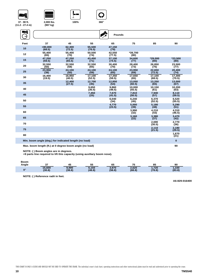

**37 - 90 ft.** 













**<sup>80</sup> 1,670**

**Min. boom angle (deg.) for indicated length (no load) 0 Max. boom length (ft.) at 0 degree boom angle (no load) 90**

**NOTE: ( ) Boom angles are in degrees.**

**+9 parts line required to lift this capacity (using auxiliary boom nose).**

**Boom Angle 37 45 55 65 75 85 90 <sup>0</sup>**° **15,600 (30.8) 9,990 (38.8) 6,150 (48.8) 3,970 (58.8) 2,620 (68.8)**

**NOTE: ( ) Reference radii in feet.**

**A6-829-016400**

**(21)**

**1,330 (83.8)**

**1,720 (78.8)**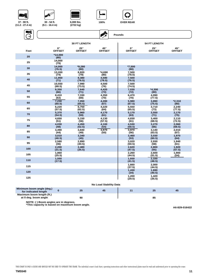











**(9.1 - 16.4 m)**

**(2722 kg)**

**100% OVER REAR**





| Minimum boom angle (deg.)<br>for indicated length | 25 | 45 |  |  |
|---------------------------------------------------|----|----|--|--|
| Maximum boom length (ft.)<br>at 0 deg. boom angle | 90 |    |  |  |

**NOTE: ( ) Boom angles are in degrees.**

**\*This capacity is based on maximum boom angle.**

**A6-829-016422**

THIS CHART IS ONLY A GUIDE AND SHOULD NOT BE USED TO OPERATE THE CRANE. The individual crane's load chart, operating instructions and other instructional plates must be read and understood prior to operating the crane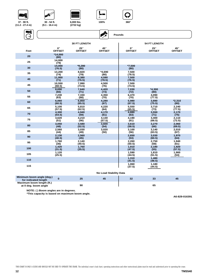

**37 - 90 ft. (11.2 - 27.4 m)**



**30 - 54 ft.** 

**ANTES** 









|      |                              | <b>30 FT LENGTH</b>           |                      |                              | <b>54 FT LENGTH</b>           |                      |
|------|------------------------------|-------------------------------|----------------------|------------------------------|-------------------------------|----------------------|
| Feet | $0^{\circ}$<br><b>OFFSET</b> | $25^{\circ}$<br><b>OFFSET</b> | 45°<br><b>OFFSET</b> | $0^{\circ}$<br><b>OFFSET</b> | $25^{\circ}$<br><b>OFFSET</b> | 45°<br><b>OFFSET</b> |
| 20   | $*14,000$<br>(80)            |                               |                      |                              |                               |                      |
| 25   | 14,000<br>(79)               |                               |                      |                              |                               |                      |
| 30   | 14,000<br>(76.5)             | *9,280<br>(80)                |                      | $*7,500$<br>(80)             |                               |                      |
| 35   | 13,200<br>(74)               | 8,820<br>(79)                 | $*4,690$<br>(80)     | 7,500<br>(78.5)              |                               |                      |
| 40   | 11,950<br>(71)               | 8,380<br>(76.5)               | 4,590<br>(78.5)      | 7,500<br>(76.5)              |                               |                      |
| 45   | 10,550<br>(68.5)             | 7,990<br>(73.5)               | 4,500<br>(76)        | 7,500<br>(74.5)              |                               |                      |
| 50   | 8,690<br>(66)                | 7,640<br>(71)                 | 4,420<br>(73)        | 7,030<br>(72)                | $*4,300$<br>(80)              |                      |
| 55   | 7,230<br>(63)                | 7,330<br>(68)                 | 4,350<br>(70)        | 6,470<br>(70)                | 4,090<br>(77.5)               |                      |
| 60   | 6,060<br>(60.5)              | 6,850<br>(65.5)               | 4,280<br>(67)        | 5,980<br>(67.5)              | 3,890<br>(75.5)               | $*2,310$<br>(80)     |
| 65   | 5,100<br>(57.5)              | 5,810<br>(62.5)               | 4,220<br>(64)        | 5,550<br>(65.5)              | 3,710<br>(73)                 | 2,240<br>(77.5)      |
| 70   | 4,300<br>(54.5)              | 4,940<br>(59)                 | 4,170<br>(61)        | 4,880<br>(63)                | 3,550<br>(71)                 | 2,170<br>(75)        |
| 75   | 3,620<br>(51)                | 4,210<br>(56)                 | 4,130<br>(57.5)      | 4,190<br>(61)                | 3,400<br>(68.5)               | 2,110<br>(72.5)      |
| 80   | 3,050<br>(48)                | 3,580<br>(52.5)               | 3,600<br>(54)        | 3,610<br>(58.5)              | 3,270<br>(66)                 | 2,060<br>(69.5)      |
| 85   | 2,560<br>(44)                | 3,030<br>(49)                 | 3,020<br>(50)        | 3,100<br>(56)                | 3,140<br>(63.5)               | 2,010<br>(67)        |
| 90   | 2,130<br>(40.5)              | 2,560<br>(45)                 |                      | 2,650<br>(53)                | 3,030<br>(60.5)               | 1,970<br>(64)        |
| 95   | 1,760<br>(36)                | 2,140<br>(40.5)               |                      | 2,260<br>(50.5)              | 2,750<br>(58)                 | 1,940<br>(61)        |
| 100  | 1,420<br>(31.5)              | 1,760<br>(35.5)               |                      | 1,910<br>(47.5)              | 2,180<br>(55)                 | 1,920<br>(57.5)      |
| 105  | 1,120<br>(25.5)              |                               |                      | 1,590<br>(44.5)              | 1,810<br>(51.5)               | 1,900<br>(54)        |
| 110  |                              |                               |                      | 1,310<br>(41.5)              | 1,480<br>(48.5)               |                      |
| 115  |                              |                               |                      | 1,060<br>(37.5)              | 1,180<br>(44.5)               |                      |

**No Load Stability Data**

| Minimum boom angle (deg.)<br>for indicated length |    |  | 33 | 45 |
|---------------------------------------------------|----|--|----|----|
| Maximum boom length (ft.)<br>at 0 deg. boom angle | 90 |  | 65 |    |

**NOTE: ( ) Boom angles are in degrees.**

**\*This capacity is based on maximum boom angle.**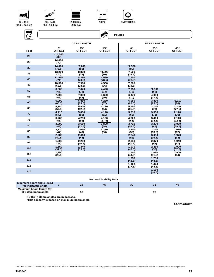







**30 - 54 ft. (9.1 - 16.4 m)**

**2,000 lbs. (907 kg)**



**Pounds**

Ś,

**100% OVER REAR**



|      |                              | <b>30 FT LENGTH</b>         |                      |                              | <b>54 FT LENGTH</b>           |                      |
|------|------------------------------|-----------------------------|----------------------|------------------------------|-------------------------------|----------------------|
| Feet | $0^{\circ}$<br><b>OFFSET</b> | $25^\circ$<br><b>OFFSET</b> | 45°<br><b>OFFSET</b> | $0^{\circ}$<br><b>OFFSET</b> | $25^{\circ}$<br><b>OFFSET</b> | 45°<br><b>OFFSET</b> |
| 20   | $*14.000$<br>(80)            |                             |                      |                              |                               |                      |
| 25   | 14.000<br>(79)               |                             |                      |                              |                               |                      |
| 30   | 14.000<br>(76.5)             | $*9,280$<br>(80)            |                      | $*7,500$<br>(80)             |                               |                      |
| 35   | 13,200<br>(74)               | 8,820<br>(79)               | *4,690<br>(80)       | 7,500<br>(78.5)              |                               |                      |
| 40   | 11,950<br>(71)               | 8,380<br>(76.5)             | 4,590<br>(78.5)      | 7,500<br>(76.5)              |                               |                      |
| 45   | 10.300<br>(68.5)             | 7.990<br>(73.5)             | 4,500<br>(76)        | 7,500<br>(74.5)              |                               |                      |
| 50   | 8.560<br>(66)                | 7.640<br>(71)               | 4,420<br>(73)        | 7,030<br>(72)                | $*4.300$<br>(80)              |                      |
| 55   | 7,200<br>(63)                | 7,330<br>(68)               | 4,350<br>(70)        | 6,470<br>(70)                | 4.090<br>(77.5)               |                      |
| 60   | 6,090<br>(60.5)              | 6,880<br>(65.5)             | 4,280<br>(67)        | 5,980<br>(67.5)              | 3,890<br>(75.5)               | $*2,310$<br>(80)     |
| 65   | 5,180<br>(57.5)              | 5,900<br>(62.5)             | 4,220<br>(64)        | 5,550<br>(65.5)              | 3,710<br>(73)                 | 2,240<br>(77.5)      |
| 70   | 4,410<br>(54.5)              | 5,030<br>(59)               | 4,170<br>(61)        | 5,010<br>(63)                | 3,550<br>(71)                 | 2,170<br>(75)        |
| 75   | 3.760<br>(51)                | 4.290<br>(56)               | 4,130<br>(57.5)      | 4,320<br>(61)                | 3.400<br>(68.5)               | 2.110<br>(72.5)      |
| 80   | 3.200<br>(48)                | 3,650<br>(52.5)             | 3,800<br>(54)        | 3.720<br>(58.5)              | 3.270<br>(66)                 | 2.060<br>(69.5)      |
| 85   | 2.720<br>(44)                | 3,090<br>(49)               | 3,230<br>(50)        | 3,200<br>(56)                | 3.140<br>(63.5)               | 2,010<br>(67)        |
| 90   | 2.280<br>(40.5)              | 2.610<br>(45)               |                      | 2.740<br>(53)                | 3.030<br>(60.5)               | 1,970<br>(64)        |
| 95   | 1,900<br>(36)                | 2,200<br>(40.5)             |                      | 2,330<br>(50.5)              | 2,870<br>(58)                 | 1,940<br>(61)        |
| 100  | 1,550<br>(31.5)              | 1,840<br>(35.5)             |                      | 1,970<br>(47.5)              | 2,460<br>(55)                 | 1,920<br>(57.5)      |
| 105  | 1.250<br>(25.5)              |                             |                      | 1.650<br>(44.5)              | 2.080<br>(51.5)               | 1.900<br>(54)        |
| 110  |                              |                             |                      | 1.350<br>(41.5)              | 1.750<br>(48.5)               |                      |
| 115  |                              |                             |                      | 1,120<br>(37.5)              | 1.440<br>(44.5)               |                      |
| 120  |                              |                             |                      |                              | 1,160<br>(40.5)               |                      |

|  | <b>No Load Stability Data</b> |  |
|--|-------------------------------|--|
|  |                               |  |

| Minimum boom angle (deg.)<br>for indicated length | 25 | 45 | 30 |  |
|---------------------------------------------------|----|----|----|--|
| Maximum boom length (ft.)<br>at 0 deg. boom angle | 85 |    |    |  |

**NOTE: ( ) Boom angles are in degrees.**

**\*This capacity is based on maximum boom angle.**

**A6-829-016426**

THIS CHART IS ONLY A GUIDE AND SHOULD NOT BE USED TO OPERATE THE CRANE. The individual crane's load chart, operating instructions and other instructional plates must be read and understood prior to operating the crane.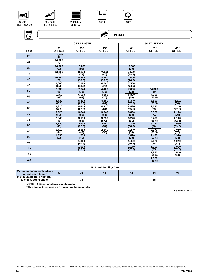











| ENÎ<br>$\rightarrow$ |                              |                             | 嗓                    | Pounds                       |                               |                      |
|----------------------|------------------------------|-----------------------------|----------------------|------------------------------|-------------------------------|----------------------|
|                      |                              | <b>30 FT LENGTH</b>         |                      |                              | <b>54 FT LENGTH</b>           |                      |
| Feet                 | $0^{\circ}$<br><b>OFFSET</b> | $25^\circ$<br><b>OFFSET</b> | 45°<br><b>OFFSET</b> | $0^{\circ}$<br><b>OFFSET</b> | $25^{\circ}$<br><b>OFFSET</b> | 45°<br><b>OFFSET</b> |
| 20                   | $*14,000$<br>(80)            |                             |                      |                              |                               |                      |
| 25                   | 14,000<br>(79)               |                             |                      |                              |                               |                      |
| 30                   | 14.000<br>(76.5)             | $*9,280$<br>(80)            |                      | $*7,500$<br>(80)             |                               |                      |
| 35                   | 13,200<br>(74)               | 8,820<br>(79)               | $*4,690$<br>(80)     | 7,500<br>(78.5)              |                               |                      |
| 40                   | 10.850<br>(71)               | 8,380<br>(76.5)             | 4,590<br>(78.5)      | 7,500<br>(76.5)              |                               |                      |
| 45                   | 8,680<br>(68.5)              | 7,990<br>(73.5)             | 4,500<br>(76)        | 7,500<br>(74.5)              |                               |                      |
| 50                   | 7,030<br>(66)                | 7,640<br>(71)               | 4,420<br>(73)        | 7,030<br>(72)                | $*4,300$<br>(80)              |                      |
| 55                   | 5,750<br>(63)                | 6,650<br>(68)               | 4,350<br>(70)        | 6,380<br>(70)                | 4,090<br>(77.5)               |                      |
| 60                   | 4,730<br>(60.5)              | 5,530<br>(65.5)             | 4,280<br>(67)        | 5,340<br>(67.5)              | 3,890<br>(75.5)               | $*2,310$<br>(80)     |
| 65                   | 3,910<br>(57.5)              | 4,610<br>(62.5)             | 4,220<br>(64)        | 4,490<br>(65.5)              | 3,710<br>(73)                 | 2,240<br>(77.5)      |
| 70                   | 3,220<br>(54.5)              | 3,840<br>(59)               | 3,940<br>(61)        | 3,820<br>(63)                | 3,550<br>(71)                 | 2,170<br>(75)        |
| 75                   | 2.640<br>(51)                | 3,190<br>(56)               | 3,250<br>(57.5)      | 3,270<br>(61)                | 3,400<br>(68.5)               | 2,110<br>(72.5)      |
| 80                   | 2,140<br>(48)                | 2,630<br>(52.5)             | 2,650<br>(54)        | 2,720<br>(58.5)              | 3,270<br>(66)                 | 2,060<br>(69.5)      |
| 85                   | 1.710<br>(44)                | 2,150<br>(49)               | 2,140<br>(50)        | 2.240<br>(56)                | 2.970<br>(63.5)               | 2,010<br>(67)        |
| 90                   | 1,330<br>(40.5)              | 1,730<br>(45)               |                      | 1,820<br>(53)                | 2.490<br>(60.5)               | 1,970<br>(64)        |
| 95                   |                              | 1,360<br>(40.5)             |                      | 1,480<br>(50.5)              | 2,070<br>(58)                 | 1,940<br>(61)        |
| 100                  |                              | 1,030<br>(35.5)             |                      | 1,170<br>(47.5)              | 1,700<br>(55)                 | 1,920<br>(57.5)      |
| 105                  |                              |                             |                      |                              | 1,360<br>(51.5)               | 1,540<br>(54)        |
| 110                  |                              |                             |                      |                              | 1,060<br>(48.5)               |                      |

**No Load Stability Data**

| Minimum boom angle (deg.)<br>for indicated length | 30 | 31 | 45 | 42 | 44 | 46 |
|---------------------------------------------------|----|----|----|----|----|----|
| Maximum boom length (ft.)<br>at 0 deg. boom angle |    | 75 |    |    | 55 |    |
| NOTE: () Boom angles are in degrees.              |    |    |    |    |    |    |

**\*This capacity is based on maximum boom angle.**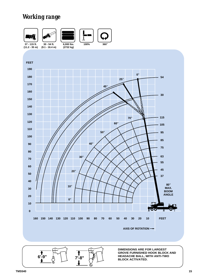# *Working range*



**DIMENSIONS ARE FOR LARGEST GROVE FURNISHED HOOK BLOCK AND HEADACHE BALL, WITH ANTI-TWO BLOCK ACTIVATED.** 

**6'-9" 7'-8"**

r.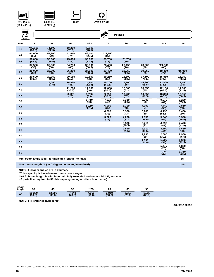







**6,000 lbs. (2722 kg)**

| Wi   |                   |                  |                                                       |                  |                  |                  |                  |                  |                  |
|------|-------------------|------------------|-------------------------------------------------------|------------------|------------------|------------------|------------------|------------------|------------------|
|      |                   |                  |                                                       |                  | AIL              | <b>Pounds</b>    |                  |                  |                  |
| Feet | 37                | 45               | 55                                                    | **63             | 75               | 85               | 95               | 105              | 115              |
| 10   | +80.000<br>(68.5) | 71,500<br>(72.5) | 58.200<br>(76.5)                                      | 49,050<br>(78.5) |                  |                  |                  |                  |                  |
| 12   | 62.000<br>(65)    | 59.900<br>(70)   | 51.550<br>(74)                                        | 46.200<br>(76.5) | *33.750<br>(80)  |                  |                  |                  |                  |
| 15   | 50,000<br>(59.5)  | 50,000<br>(65.5) | 43.800<br>(71)                                        | 39.050<br>(73.5) | 33,750<br>(77)   | *31.750<br>(80)  |                  |                  |                  |
| 20   | 37.500<br>(50)    | 37.500<br>(58)   | 34.250<br>(65)                                        | 30.500<br>(68.5) | 28.400<br>(73)   | 26.150<br>(76)   | 23.600<br>(78)   | *21.800<br>(80)  |                  |
| 25   | 28,000<br>(38)    | 28,000<br>(50)   | 26.200<br>(59)                                        | 24.600<br>(63.5) | 23.400<br>(69)   | 22.050<br>(72.5) | 19.950<br>(75)   | 18.450<br>(77)   | *15.050<br>(80)  |
| 30   | 20.500<br>(19.5)  | 20.350<br>(40.5) | 20,150<br>(52.5)                                      | 19.800<br>(58)   | 19.250<br>(65)   | 18.500<br>(68.5) | 17.100<br>(71.5) | 15.850<br>(74.5) | 15.050<br>(76.5) |
| 35   |                   | 15,050<br>(27.5) | 14.950<br>(45)                                        | 14.800<br>(52.5) | 15.700<br>(60.5) | 15.700<br>(65)   | 14.900<br>(68.5) | 13.800<br>(71.5) | 13,150<br>(74)   |
| 40   |                   |                  | 11.200<br>(36.5)                                      | 11.100<br>(46)   | 12.050<br>(55.5) | 12.600<br>(61)   | 13.050<br>(65)   | 12.150<br>(68.5) | 11.600<br>(71.5) |
| 45   |                   |                  | 8,720<br>(25)                                         | 8.700<br>(39)    | 9.650<br>(50.5)  | 10.200<br>(57)   | 10.650<br>(61.5) | 10.800<br>(65.5) | 10.350<br>(68.5) |
| 50   |                   |                  |                                                       | 6.710<br>(30)    | 7,610<br>(45)    | 8.310<br>(52.5)  | 8.700<br>(58)    | 9.070<br>(62)    | 9.280<br>(65.5)  |
| 55   |                   |                  |                                                       | 5,150<br>(17.5)  | 6.000<br>(39)    | 6,700<br>(48)    | 7,090<br>(54)    | 7.440<br>(59)    | 7,810<br>(63)    |
| 60   |                   |                  |                                                       |                  | 4,690<br>(32)    | 5,360<br>(43)    | 5,760<br>(50)    | 6,130<br>(55.5)  | 6,480<br>(60)    |
| 65   |                   |                  |                                                       |                  | 3,620<br>(22)    | 4,260<br>(37)    | 4.650<br>(45.5)  | 5,040<br>(52)    | 5.390<br>(56.5)  |
| 70   |                   |                  |                                                       |                  |                  | 3.330<br>(30.5)  | 3.710<br>(41)    | 4.090<br>(48)    | 4.470<br>(53.5)  |
| 75   |                   |                  |                                                       |                  |                  | 2,540<br>(21.5)  | 2.910<br>(35.5)  | 3,290<br>(44)    | 3,660<br>(50)    |
| 80   |                   |                  |                                                       |                  |                  |                  | 2,230<br>(29)    | 2.600<br>(39.5)  | 2.960<br>(46.5)  |
| 85   |                   |                  |                                                       |                  |                  |                  | 1.630<br>(20.5)  | 1.990<br>(34)    | 2.360<br>(42.5)  |
| 90   |                   |                  |                                                       |                  |                  |                  |                  | 1.470<br>(28)    | 1.820<br>(38)    |
| 95   |                   |                  |                                                       |                  |                  |                  |                  | 1,000<br>(20)    | 1.350<br>(33.5)  |
|      |                   |                  | Min. boom angle (deg.) for indicated length (no load) |                  |                  |                  |                  |                  | 15               |

**Max. boom length (ft.) at 0 degree boom angle (no load)**

**NOTE: ( ) Boom angles are in degrees.**

**\*This capacity is based on maximum boom angle.**

**\*\*63 ft. boom length is with inner mid fully extended and outer mid & fly retracted.**

**+9 parts line required to lift this capacity (using auxiliary boom nose).**

| <b>Boom</b><br>Angle | 27<br>o. |        | 55     | **63   | 75     | 85     | 95     |
|----------------------|----------|--------|--------|--------|--------|--------|--------|
| $\mathbf{0}^{\circ}$ | 19,250   | 12,000 | 7,140  | 4,660  | 2,910  | 2.010  | 1,230  |
|                      | (30.8)   | (38.8) | (48.8) | (56.8) | (68.8) | (78.8) | (88.8) |

**NOTE: ( ) Reference radii in feet.**

**A6-829-100097**

**105**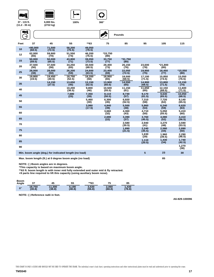







| (2722 kg) |
|-----------|
|           |

| WÎ   |                   |                                                         |                  |                  |                  | <b>Pounds</b>    |                  |                  |                  |
|------|-------------------|---------------------------------------------------------|------------------|------------------|------------------|------------------|------------------|------------------|------------------|
| Feet | 37                | 45                                                      | 55               | **63             | 75               | 85               | 95               | 105              | 115              |
| 10   | +80.000<br>(68.5) | 71.500<br>(72.5)                                        | 58.200<br>(76.5) | 49.050<br>(78.5) |                  |                  |                  |                  |                  |
| 12   | 62.000<br>(65)    | 59.900<br>(70)                                          | 51.550<br>(74)   | 46.200<br>(76.5) | *33.750<br>(80)  |                  |                  |                  |                  |
| 15   | 50.000<br>(59.5)  | 50,000<br>(65.5)                                        | 43.800<br>(71)   | 39.050<br>(73.5) | 33.750<br>(77)   | *31.750<br>(80)  |                  |                  |                  |
| 20   | 37.500<br>(50)    | 37.500<br>(58)                                          | 34.250<br>(65)   | 30.500<br>(68.5) | 28.400<br>(73)   | 26.150<br>(76)   | 23,600<br>(78)   | *21.800<br>(80)  |                  |
| 25   | 28,000<br>(38)    | 28,000<br>(50)                                          | 26,200<br>(59)   | 24.600<br>(63.5) | 23,400<br>(69)   | 22.050<br>(72.5) | 19,950<br>(75)   | 18,450<br>(77)   | *15.050<br>(80)  |
| 30   | 19.800<br>(19.5)  | 19.450<br>(40.5)                                        | 18.750<br>(52.5) | 18.200<br>(58)   | 18.950<br>(65)   | 18,500<br>(68.5) | 17.100<br>(71.5) | 15,850<br>(74.5) | 15.050<br>(76.5) |
| 35   |                   | 14,150<br>(27.5)                                        | 13.650<br>(45)   | 13.150<br>(52.5) | 13.900<br>(60.5) | 14.550<br>(65)   | 14.900<br>(68.5) | 13,800<br>(71.5) | 13,150<br>(74)   |
| 40   |                   |                                                         | 10,200<br>(36.5) | 9,800<br>(46)    | 10.500<br>(55.5) | 11.150<br>(61)   | 11,650<br>(65)   | 12.150<br>(68.5) | 11,600<br>(71.5) |
| 45   |                   |                                                         | 7.680<br>(25)    | 7.350<br>(39)    | 8.110<br>(50.5)  | 8.730<br>(57)    | 9.170<br>(61.5)  | 9.630<br>(65.5)  | 10.050<br>(68.5) |
| 50   |                   |                                                         |                  | 5.460<br>(30)    | 6,300<br>(45)    | 6,920<br>(52.5)  | 7,310<br>(58)    | 7,720<br>(62)    | 8.140<br>(65.5)  |
| 55   |                   |                                                         |                  | 3.990<br>(17.5)  | 4.840<br>(39)    | 5,500<br>(48)    | 5.860<br>(54)    | 6.240<br>(59)    | 6.620<br>(63)    |
| 60   |                   |                                                         |                  |                  | 3.660<br>(32)    | 4,360<br>(43)    | 4.710<br>(50)    | 5.050<br>(55.5)  | 5.410<br>(60)    |
| 65   |                   |                                                         |                  |                  | 2,690<br>(22)    | 3.390<br>(37)    | 3.760<br>(45.5)  | 4,080<br>(52)    | 4.410<br>(56.5)  |
| 70   |                   |                                                         |                  |                  |                  | 2.580<br>(30.5)  | 2.940<br>(41)    | 3.270<br>(48)    | 3.590<br>(53.5)  |
| 75   |                   |                                                         |                  |                  |                  | 1.890<br>(21.5)  | 2.240<br>(35.5)  | 2,580<br>(44)    | 2,890<br>(50)    |
| 80   |                   |                                                         |                  |                  |                  |                  | 1.630<br>(29)    | 1.960<br>(39.5)  | 2.290<br>(46.5)  |
| 85   |                   |                                                         |                  |                  |                  |                  | 1,110<br>(20.5)  | 1.430<br>(34)    | 1.740<br>(42.5)  |
| 90   |                   |                                                         |                  |                  |                  |                  |                  |                  | 1,270<br>(38)    |
|      |                   | Min. boom angle (deg.) for indicated length (no load)   |                  |                  |                  |                  | 5                | 23               | 30               |
|      |                   | Max. boom length (ft.) at 0 degree boom angle (no load) |                  |                  |                  |                  |                  | 85               |                  |

**NOTE: ( ) Boom angles are in degrees.**

**\*This capacity is based on maximum boom angle.**

**\*\*63 ft. boom length is with inner mid fully extended and outer mid & fly retracted.**

**+9 parts line required to lift this capacity (using auxiliary boom nose).**

| <b>Boom</b><br>Angle | 37<br>J1         |                  | 55<br>◡         | **63            | 75              | 85             |
|----------------------|------------------|------------------|-----------------|-----------------|-----------------|----------------|
| $\mathbf{0}^{\circ}$ | 18,750<br>(30.8) | 11,300<br>(38.8) | 6,190<br>(48.8) | 3,530<br>(56.8) | 2,060<br>(68.8) | ,430<br>(78.8) |

**NOTE: ( ) Reference radii in feet.**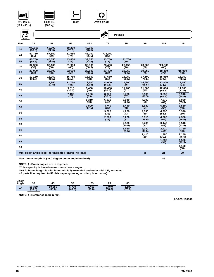







**2,000 lbs. (907 kg)**

**AND** ENÎ **Pounds**  $\Theta$ **105 115 Feet 37 45 55 \*\*63 75 85 95 <sup>10</sup> +80,000 69,000 58,200 49,050 (68.5) (72.5) (76.5) (78.5) 51,550 46,200 \*33,750 <sup>12</sup> 57,750 (65) 57,550 (70) (74) (76.5) (80) <sup>15</sup> 45,750 (59.5) 45,550 (65.5) 43,800 (71) 39,050 (73.5) 33,750 (77) \*31,750 (80) 26,150 <sup>20</sup> 32,300 32,100 31,900 30,500 28,400 23,600 \*21,800 (50) (58) (65) (68.5) (73) (76) (78) (80) 22,800 22,500 22,050 <sup>25</sup> 23,000 (38) 22,600 (59) 23,400 (69) 19,950 (75) 18,450 (77) \*15,050 (80) (50) (63.5) (72.5) 16,950 16,650 17,650 18,250 15,050 <sup>30</sup> 17,150 (19.5) 16,750 (52.5) 17,100 (71.5) 15,850 (74.5) (40.5) (58) (65) (68.5) (76.5)**  $\frac{12,850}{27.5}$ **12,750 13,600 14,200 13,800 12,600 14,650 (68.5) 13,150 (74) (27.5) (45) (52.5) (60.5) (65) (71.5) <sup>40</sup> 9,510 (36.5) 9,460 (46) 10,400 (55.5) 11,200 (61) 11,600 (65) 12,000 (68.5) 11,600 (71.5) 7,100 8,070 8,780 9,160 9,940 <sup>45</sup> 7,130 (25) 9,550 (65.5) (39) (61.5) (68.5) (50.5) (57) (30) 6,210 6,940 7,300 8,050 <sup>50</sup> 5,310 7,670 (62) (45) (52.5) (58) (65.5) <sup>55</sup> 3,890 (17.5) 4,740 (39) 5,440 (48) 5,830 (54) 6,190 (59) 6,550 (63) (32) <sup>60</sup> 3,560 4,220 (43) 4,630 (50) 4,990 (55.5) 5,340 (60) (22) 3,220 <sup>65</sup> 2,580 3,610 (45.5) 4,000 (52) 4,350 (56.5) (37) 3,510 <sup>70</sup> 2,380 2,760 (41) 3,140 (48) (30.5) (53.5) 2,030 2,780 1,660 (21.5) 2,410 (44) 75 (35.5) (50) <sup>80</sup> 1,410 (29) 2,140 (46.5) 1,780 (39.5) 1,230 (34) 1,590 (42.5) 85 1,100 (38) 90 Min. boom angle (deg.) for indicated length (no load) 3 21 29**

**Max. boom length (ft.) at 0 degree boom angle (no load)**

**NOTE: ( ) Boom angles are in degrees.**

**\*This capacity is based on maximum boom angle.**

**\*\*63 ft. boom length is with inner mid fully extended and outer mid & fly retracted.**

**+9 parts line required to lift this capacity (using auxiliary boom nose).**

| <b>Boom</b><br>Angle | 37               | 45               | 55              | **63            | 75              | 85             |
|----------------------|------------------|------------------|-----------------|-----------------|-----------------|----------------|
| $\mathbf{0}^{\circ}$ | 16,350<br>(30.8) | 10,250<br>(38.8) | 5,700<br>(48.8) | 3,450<br>(56.8) | 1,940<br>(68.8) | ,180<br>(78.8) |

**NOTE: ( ) Reference radii in feet.**

**A6-829-100101**

**85**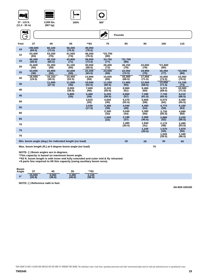









| $(11.2 - 33.0)$ |                     |                  |                  |                  |                  |                  |                  |                  |                  |
|-----------------|---------------------|------------------|------------------|------------------|------------------|------------------|------------------|------------------|------------------|
| NÎ              |                     |                  |                  |                  | $\blacktriangle$ | <b>Pounds</b>    |                  |                  |                  |
| Feet            | 37                  | 45               | 55               | **63             | 75               | 85               | 95               | 105              | 115              |
| 10              | $+80.000$<br>(68.5) | 60.100<br>(72.5) | 58.200<br>(76.5) | 49.050<br>(78.5) |                  |                  |                  |                  |                  |
| 12              | 53,400<br>(65)      | 53,200<br>(70)   | 51,550<br>(74)   | 46,200<br>(76.5) | *33,750<br>(80)  |                  |                  |                  |                  |
| 15              | 45.350<br>(59.5)    | 45.150<br>(65.5) | 43,800<br>(71)   | 39.050<br>(73.5) | 33,750<br>(77)   | *31.750<br>(80)  |                  |                  |                  |
| 20              | 31,600<br>(50)      | 31,350<br>(58)   | 31,150<br>(65)   | 30.050<br>(68.5) | 28,400<br>(73)   | 26.150<br>(76)   | 23,600<br>(78)   | *21,800<br>(80)  |                  |
| 25              | 23,000<br>(38)      | 22,800<br>(50)   | 22,600<br>(59)   | 22,200<br>(63.5) | 23,000<br>(69)   | 22,050<br>(72.5) | 19,950<br>(75)   | 18,450<br>(77)   | *15,050<br>(80)  |
| 30              | 16,500<br>(19.5)    | 16,150<br>(40.5) | 15.450<br>(52.5) | 14,900<br>(58)   | 15,650<br>(65)   | 16,300<br>(68.5) | 17,050<br>(71.5) | 15,850<br>(74.5) | 15,050<br>(76.5) |
| 35              |                     | 11,500<br>(27.5) | 11,000<br>(45)   | 10,500<br>(52.5) | 11,250<br>(60.5) | 11,900<br>(65)   | 12,500<br>(68.5) | 13,050<br>(71.5) | 13,150<br>(74)   |
| 40              |                     |                  | 8.000<br>(36.5)  | 7.600<br>(46)    | 8.320<br>(55.5)  | 8.960<br>(61)    | 9.460<br>(65)    | 9.970<br>(68.5)  | 10.500<br>(71.5) |
| 45              |                     |                  | 5,800<br>(25)    | 5.460<br>(39)    | 6.220<br>(50.5)  | 6.850<br>(57)    | 7.290<br>(61.5)  | 7.740<br>(65.5)  | 8.210<br>(68.5)  |
| 50              |                     |                  |                  | 3,810<br>(30)    | 4.650<br>(45)    | 5.270<br>(52.5)  | 5.660<br>(58)    | 6.070<br>(62)    | 6.490<br>(65.5)  |
| 55              |                     |                  |                  | 2.530<br>(17.5)  | 3,380<br>(39)    | 4.040<br>(48)    | 4.400<br>(54)    | 4.770<br>(59)    | 5,160<br>(63)    |
| 60              |                     |                  |                  |                  | 2,340<br>(32)    | 3,040<br>(43)    | 3,390<br>(50)    | 3,730<br>(55.5)  | 4,090<br>(60)    |
| 65              |                     |                  |                  |                  | 1,500<br>(22)    | 2,190<br>(37)    | 2,560<br>(45.5)  | 2,880<br>(52)    | 3,220<br>(56.5)  |
| 70              |                     |                  |                  |                  |                  | 1.480<br>(30.5)  | 1,840<br>(41)    | 2,170<br>(48)    | 2,490<br>(53.5)  |
| 75              |                     |                  |                  |                  |                  |                  | 1,220<br>(35.5)  | 1,570<br>(44)    | 1,870<br>(50)    |
| 75              |                     |                  |                  |                  |                  |                  |                  | 1,020<br>(39.5)  | 1,340<br>(46.5)  |

**Min. boom angle (deg.) for indicated length (no load) Max. boom length (ft.) at 0 degree boom angle (no load)**

**75**

**28 35**

**18**

**NOTE: ( ) Boom angles are in degrees.**

**\*This capacity is based on maximum boom angle.**

**\*\*63 ft. boom length is with inner mid fully extended and outer mid & fly retracted. +9 parts line required to lift this capacity (using auxiliary boom nose).**

**NOTE: ( ) Reference radii in feet.**

**A6-829-100100**

**40**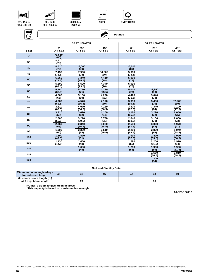

**37 - 115 ft. (11.2 - 35 m)**



**30 - 54 ft.** 





**100% OVER REAR**

**Pounds**



|      |                              | <b>30 FT LENGTH</b>           |                      |                            | <b>54 FT LENGTH</b>           |                      |
|------|------------------------------|-------------------------------|----------------------|----------------------------|-------------------------------|----------------------|
| Feet | $0^{\circ}$<br><b>OFFSET</b> | $25^{\circ}$<br><b>OFFSET</b> | 45°<br><b>OFFSET</b> | $0^\circ$<br><b>OFFSET</b> | $25^{\circ}$<br><b>OFFSET</b> | 45°<br><b>OFFSET</b> |
| 30   | $*8,510$<br>(80)             |                               |                      |                            |                               |                      |
| 35   | 8,510<br>(78)                |                               |                      |                            |                               |                      |
| 40   | 8,510<br>(76)                | $*8,000$<br>(80)              |                      | $*5,010$<br>(80)           |                               |                      |
| 45   | 7,450<br>(73.5)              | 7,900<br>(78)                 | $*4,500$<br>(80)     | 5,010<br>(78.5)            |                               |                      |
| 50   | 6,560<br>(71.5)              | 7,340<br>(75.5)               | 4,410<br>(78)        | 5,010<br>(77)              |                               |                      |
| 55   | 5,800<br>(69.5)              | 6,500<br>(73.5)               | 4,340<br>(76)        | 5,010<br>(75)              |                               |                      |
| 60   | 5,140<br>(67.5)              | 5,770<br>(71)                 | 4,270<br>(73.5)      | 5,010<br>(73)              | $*3,840$<br>(80)              |                      |
| 65   | 4,560<br>(65)                | 5,130<br>(69)                 | 4,220<br>(71)        | 4,470<br>(71.5)            | 3,640<br>(78)                 |                      |
| 70   | 4,060<br>(62.5)              | 4,570<br>(66.5)               | 4,170<br>(69)        | 3,990<br>(69.5)            | 3,490<br>(76)                 | $*2,200$<br>(80)     |
| 75   | 3.610<br>(60.5)              | 4.070<br>(64.5)               | 4.130<br>(66.5)      | 3.570<br>(67.5)            | 3.340<br>(74)                 | 2.100<br>(77.5)      |
| 80   | 3,210<br>(58)                | 3,620<br>(62)                 | 4,100<br>(64)        | 3,180<br>(65.5)            | 3,220<br>(72)                 | 2,050<br>(75)        |
| 85   | 2,860<br>(55.5)              | 3,210<br>(59.5)               | 3,730<br>(61)        | 2,840<br>(63.5)            | 3,100<br>(70)                 | 2,000<br>(73)        |
| 90   | 2,360<br>(53)                | 2,840<br>(56.5)               | 3,080<br>(58.5)      | 2,530<br>(61.5)            | 3,000<br>(68)                 | 1,970<br>(71)        |
| 95   | 1,900<br>(50)                | 2,330<br>(54)                 | 2,510<br>(55.5)      | 2,250<br>(59.5)            | 2,800<br>(66)                 | 1,940<br>(68.5)      |
| 100  | 1,500<br>(47.5)              | 1,870<br>(51)                 |                      | 1,990<br>(57.5)            | 2.490<br>(63.5)               | 1.920<br>(66.5)      |
| 105  | 1,130<br>(44.5)              | 1,450<br>(48)                 |                      | 1,590<br>(55)              | 2,200<br>(61.5)               | 1,910<br>(64)        |
| 110  |                              | 1,080<br>(45)                 |                      | 1,210<br>(53)              | 1,930<br>(59)                 | 1,900<br>(61.5)      |
| 115  |                              |                               |                      |                            | 1,550<br>(56.5)               | 1,810<br>(58.5)      |
| 120  |                              |                               |                      |                            | 1,200<br>(54)                 |                      |
|      |                              |                               |                      |                            |                               |                      |

**AND** 

#### **No Load Stability Data**

| Minimum boom angle (deg.)<br>for indicated length                                                                                                                                                                                 | 40 |    | 45 | 48 |    | 49 |
|-----------------------------------------------------------------------------------------------------------------------------------------------------------------------------------------------------------------------------------|----|----|----|----|----|----|
| Maximum boom length (ft.)<br>at 0 deg. boom angle                                                                                                                                                                                 |    | 75 |    |    | 63 |    |
| $\frac{1}{2}$ . The contract of the contract of the contract of the contract of the contract of the contract of the contract of the contract of the contract of the contract of the contract of the contract of the contract of t |    |    |    |    |    |    |

**NOTE: ( ) Boom angles are in degrees. \*This capacity is based on maximum boom angle.**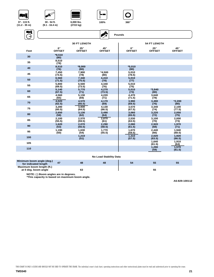





**6,000 lbs. (2722 kg)**





|      | <b>30 FT LENGTH</b>          |                             |                             | <b>54 FT LENGTH</b>          |                             |                      |  |
|------|------------------------------|-----------------------------|-----------------------------|------------------------------|-----------------------------|----------------------|--|
| Feet | $0^{\circ}$<br><b>OFFSET</b> | $25^\circ$<br><b>OFFSET</b> | $45^\circ$<br><b>OFFSET</b> | $0^{\circ}$<br><b>OFFSET</b> | $25^\circ$<br><b>OFFSET</b> | 45°<br><b>OFFSET</b> |  |
| 30   | $*8,510$<br>(80)             |                             |                             |                              |                             |                      |  |
| 35   | 8,510<br>(78)                |                             |                             |                              |                             |                      |  |
| 40   | 8,510<br>(76)                | $*8,000$<br>(80)            |                             | $*5,010$<br>(80)             |                             |                      |  |
| 45   | 7,450<br>(73.5)              | 7,900<br>(78)               | $*4,500$<br>(80)            | 5,010<br>(78.5)              |                             |                      |  |
| 50   | 6,560<br>(71.5)              | 7,340<br>(75.5)             | 4,410<br>(78)               | 5,010<br>(77)                |                             |                      |  |
| 55   | 5,800<br>(69.5)              | 6,500<br>(73.5)             | 4,340<br>(76)               | 5,010<br>(75)                |                             |                      |  |
| 60   | 5,140<br>(67.5)              | 5,770<br>(71)               | 4,270<br>(73.5)             | 5,010<br>(73)                | $*3,840$<br>(80)            |                      |  |
| 65   | 4.560<br>(65)                | 5,130<br>(69)               | 4,220<br>(71)               | 4,470<br>(71.5)              | 3,640<br>(78)               |                      |  |
| 70   | 4.020<br>(62.5)              | 4,570<br>(66.5)             | 4,170<br>(69)               | 3,990<br>(69.5)              | 3,490<br>(76)               | $*2,200$<br>(80)     |  |
| 75   | 3,280<br>(60.5)              | 3,930<br>(64.5)             | 4,130<br>(66.5)             | 3,570<br>(67.5)              | 3,340<br>(74)               | 2,100<br>(77.5)      |  |
| 80   | 2,650<br>(58)                | 3,130<br>(62)               | 3,490<br>(64)               | 3,060<br>(65.5)              | 3,220<br>(72)               | 2,050<br>(75)        |  |
| 85   | 2,100<br>(55.5)              | 2,570<br>(59.5)             | 2,870<br>(61)               | 2,530<br>(63.5)              | 3,100<br>(70)               | 2.000<br>(73)        |  |
| 90   | 1,620<br>(53)                | 2,070<br>(56.5)             | 2.290<br>(58.5)             | 2,080<br>(61.5)              | 2,920<br>(68)               | 1,970<br>(71)        |  |
| 95   | 1,190<br>(50)                | 1.630<br>(54)               | 1.770<br>(55.5)             | 1.670<br>(59.5)              | 2.440<br>(66)               | 1.940<br>(68.5)      |  |
| 100  |                              | 1,210<br>(51)               |                             | 1,310<br>(57.5)              | 2,020<br>(63.5)             | 1,920<br>(66.5)      |  |
| 105  |                              |                             |                             |                              | 1.640<br>(61.5)             | 1,910<br>(64)        |  |
| 110  |                              |                             |                             |                              | 1,290<br>(59)               | 1,570<br>(61.5)      |  |

#### **No Load Stability Data**

| Minimum boom angle (deg.)<br>for indicated length | 47 | 48 | 48 | 54 | 55 | 55 |
|---------------------------------------------------|----|----|----|----|----|----|
| Maximum boom length (ft.)<br>at 0 deg. boom angle |    | ხა |    |    | 55 |    |

**NOTE: ( ) Boom angles are in degrees. \*This capacity is based on maximum boom angle.**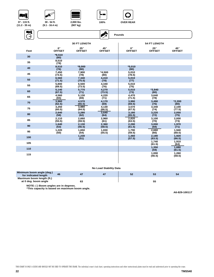













**(9.1 - 16.4 m)**



|      |                              | <b>30 FT LENGTH</b>           |                      |                            | <b>54 FT LENGTH</b>           |                      |
|------|------------------------------|-------------------------------|----------------------|----------------------------|-------------------------------|----------------------|
| Feet | $0^{\circ}$<br><b>OFFSET</b> | $25^{\circ}$<br><b>OFFSET</b> | 45°<br><b>OFFSET</b> | $0^\circ$<br><b>OFFSET</b> | $25^{\circ}$<br><b>OFFSET</b> | 45°<br><b>OFFSET</b> |
| 30   | $*8,510$<br>(80)             |                               |                      |                            |                               |                      |
| 35   | 8,510<br>(78)                |                               |                      |                            |                               |                      |
| 40   | 8,510<br>(76)                | $*8,000$<br>(80)              |                      | $*5,010$<br>(80)           |                               |                      |
| 45   | 7,450<br>(73.5)              | 7,900<br>(78)                 | $*4,500$<br>(80)     | 5,010<br>(78.5)            |                               |                      |
| 50   | 6,560<br>(71.5)              | 7,340<br>(75.5)               | 4,410<br>(78)        | 5,010<br>(77)              |                               |                      |
| 55   | 5,800<br>(69.5)              | 6,500<br>(73.5)               | 4,340<br>(76)        | 5,010<br>(75)              |                               |                      |
| 60   | 5,140<br>(67.5)              | 5,770<br>(71)                 | 4,270<br>(73.5)      | 5,010<br>(73)              | $*3,840$<br>(80)              |                      |
| 65   | 4,560<br>(65)                | 5,130<br>(69)                 | 4,220<br>(71)        | 4,470<br>(71.5)            | 3,640<br>(78)                 |                      |
| 70   | 3,960<br>(62.5)              | 4,570<br>(66.5)               | 4,170<br>(69)        | 3,990<br>(69.5)            | 3,490<br>(76)                 | $*2,200$<br>(80)     |
| 75   | 3,250<br>(60.5)              | 3,980<br>(64.5)               | 4,130<br>(66.5)      | 3,570<br>(67.5)            | 3,340<br>(74)                 | 2,100<br>(77.5)      |
| 80   | 2,640<br>(58)                | 3,280<br>(62)                 | 3,640<br>(64)        | 3,180<br>(65.5)            | 3,220<br>(72)                 | 2,050<br>(75)        |
| 85   | 2,110<br>(55.5)              | 2,660<br>(59.5)               | 2,960<br>(61)        | 2,820<br>(63.5)            | 3,100<br>(70)                 | 2,000<br>(73)        |
| 90   | 1,640<br>(53)                | 2,130<br>(56.5)               | 2,360<br>(58.5)      | 2,280<br>(61.5)            | 3,000<br>(68)                 | 1,970<br>(71)        |
| 95   | 1,220<br>(50)                | 1,650<br>(54)                 | 1,830<br>(55.5)      | 1,790<br>(59.5)            | 2,660<br>(66)                 | 1,940<br>(68.5)      |
| 100  |                              | 1,230<br>(51)                 |                      | 1,360<br>(57.5)            | 2,180<br>(63.5)               | 1,920<br>(66.5)      |
| 105  |                              |                               |                      |                            | 1.740<br>(61.5)               | 1,910<br>(64)        |
| 110  |                              |                               |                      |                            | 1,350<br>(59)                 | 1,680<br>(61.5)      |
| 115  |                              |                               |                      |                            | 1,000<br>(56.5)               | 1,260<br>(58.5)      |
|      |                              |                               |                      |                            |                               |                      |

**No Load Stability Data**

| Minimum boom angle (deg.)<br>for indicated length | 46 | 47 | 47 | -52 | -55 | 54 |
|---------------------------------------------------|----|----|----|-----|-----|----|
| Maximum boom length (ft.)<br>at 0 deg. boom angle |    | 63 |    |     | 55  |    |
| .                                                 |    |    |    |     |     |    |

**NOTE: ( ) Boom angles are in degrees. \*This capacity is based on maximum boom angle.**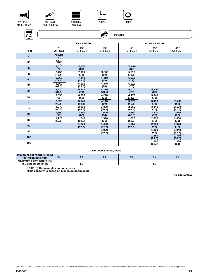

**(11.2 - 35 m)**



**(907 kg)**

**30 - 54 ft. (9.1 - 16.4 m)**

RAN



 $\overline{\mathbf{M}}$ 

| - 75<br>$\rightarrow$ |                              |                             | $\sum_{i=1}^N$                | Pounds                     |                               |                      |
|-----------------------|------------------------------|-----------------------------|-------------------------------|----------------------------|-------------------------------|----------------------|
|                       |                              | <b>30 FT LENGTH</b>         |                               |                            | <b>54 FT LENGTH</b>           |                      |
| Feet                  | $0^{\circ}$<br><b>OFFSET</b> | $25^\circ$<br><b>OFFSET</b> | 45°<br><b>OFFSET</b>          | $0^\circ$<br><b>OFFSET</b> | $25^{\circ}$<br><b>OFFSET</b> | 45°<br><b>OFFSET</b> |
| 30                    | $*8,510$<br>(80)             |                             |                               |                            |                               |                      |
| 35                    | 8,510<br>(78)                |                             |                               |                            |                               |                      |
| 40                    | 8,510<br>(76)                | $*8,000$<br>(80)            |                               | $*5,010$<br>(80)           |                               |                      |
| 45                    | 7,450<br>(73.5)              | 7,900<br>(78)               | $*4,500$<br>(80)              | 5,010<br>(78.5)            |                               |                      |
| 50                    | 6,560<br>(71.5)              | 7,340<br>(75.5)             | 4,410<br>(78)                 | 5,010<br>(77)              |                               |                      |
| 55                    | 5.760<br>(69.5)              | 6,500<br>(73.5)             | 4,340<br>(76)                 | 5,010<br>(75)              |                               |                      |
| 60                    | 4,620<br>(67.5)              | 5,540<br>(71)               | 4,270<br>(73.5)               | 5,010<br>(73)              | $*3,840$<br>(80)              |                      |
| 65                    | 3,690<br>(65)                | 4,500<br>(69)               | 4,220<br>(71)                 | 4,470<br>(71.5)            | 3,640<br>(78)                 |                      |
| 70                    | 2,920<br>(62.5)              | 3,640<br>(66.5)             | 4,110<br>(69)                 | 3,670<br>(69.5)            | 3,490<br>(76)                 | $*2,200$<br>(80)     |
| 75                    | 2,270<br>(60.5)              | 2,910<br>(64.5)             | 3,300<br>(66.5)               | 2,960<br>(67.5)            | 3,340<br>(74)                 | 2,100<br>(77.5)      |
| 80                    | 1,700<br>(58)                | 2,290<br>(62)               | 2,600<br>(64)                 | 2,350<br>(65.5)            | 3,220<br>(72)                 | 2,050<br>(75)        |
| 85                    | 1,220<br>(55.5)              | 1,740<br>(59.5)             | 1,990<br>(61)                 | 1,820<br>(63.5)            | 2,830<br>(70)                 | 2,000<br>(73)        |
| 90                    |                              | 1,270<br>(56.5)             | 1,460<br>(58.5)               | 1,350<br>(61.5)            | 2,280<br>(68)                 | 1,970<br>(71)        |
| 95                    |                              |                             | 1,000<br>(55.5)               |                            | 1,800<br>(66)                 | 1,940<br>(68.5)      |
| 100                   |                              |                             |                               |                            | 1,380<br>(63.5)               | 1,760<br>(66.5)      |
| 105                   |                              |                             |                               |                            | 1,000<br>(61.5)               | 1,310<br>(64)        |
|                       |                              |                             | <b>No Load Stability Data</b> |                            |                               |                      |

к≽

**Minimum boom angle (deg.) for indicated length 52 53 54 58 60 60 Maximum boom length (ft.)**  at 0 deg. boom angle **55** 55

**NOTE: ( ) Boom angles are in degrees. \*This capacity is based on maximum boom angle.**